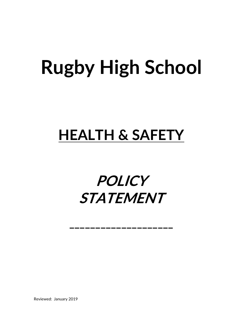# **Rugby High School**

### **HEALTH & SAFETY**

## **POLICY STATEMENT**

\_\_\_\_\_\_\_\_\_\_\_\_\_\_\_\_\_\_\_\_\_\_\_

Reviewed: January 2019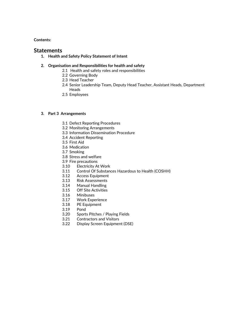#### **Contents:**

#### **Statements**

**1. Health and Safety Policy Statement of Intent**

#### **2. Organisation and Responsibilities for health and safety**

- 2.1 Health and safety roles and responsibilities
- 2.2 Governing Body
- 2.3 Head Teacher
- 2.4 Senior Leadership Team, Deputy Head Teacher, Assistant Heads, Department Heads
- 2.5 Employees

#### **3. Part 3 Arrangements**

- 3.1 Defect Reporting Procedures
- 3.2 Monitoring Arrangements
- 3.3 Information Dissemination Procedure
- 3.4 Accident Reporting
- 3.5 First Aid
- 3.6 Medication
- 3.7 Smoking
- 3.8 Stress and welfare
- 3.9 Fire precautions
- 3.10 Electricity At Work
- 3.11 Control Of Substances Hazardous to Health (COSHH)
- 3.12 Access Equipment
- 3.13 Risk Assessments
- 3.14 Manual Handling
- 3.15 Off Site Activities
- 3.16 Minibuses
- 3.17 Work Experience
- 3.18 PE Equipment
- 3.19 Pond
- 3.20 Sports Pitches / Playing Fields
- 3.21 Contractors and Visitors
- 3.22 Display Screen Equipment (DSE)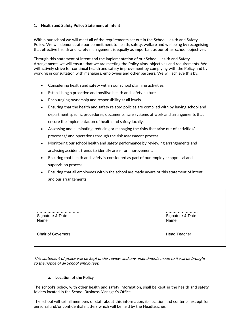#### **1. Health and Safety Policy Statement of Intent**

Within our school we will meet all of the requirements set out in the School Health and Safety Policy. We will demonstrate our commitment to health, safety, welfare and wellbeing by recognising that effective health and safety management is equally as important as our other school objectives.

Through this statement of intent and the implementation of our School Health and Safety Arrangements we will ensure that we are meeting the Policy aims, objectives and requirements. We will actively strive for continual health and safety improvement by complying with the Policy and by working in consultation with managers, employees and other partners. We will achieve this by:

- Considering health and safety within our school planning activities.
- Establishing a proactive and positive health and safety culture.
- **Encouraging ownership and responsibility at all levels.**
- Ensuring that the health and safety related policies are complied with by having school and department specific procedures, documents, safe systems of work and arrangements that ensure the implementation of health and safety locally.
- Assessing and eliminating, reducing or managing the risks that arise out of activities/ processes/ and operations through the risk assessment process.
- Monitoring our school health and safety performance by reviewing arrangements and analysing accident trends to identify areas for improvement.
- Ensuring that health and safety is considered as part of our employee appraisal and supervision process.
- Ensuring that all employees within the school are made aware of this statement of intent and our arrangements.

…………………………… …………………… Signature & Date Signature & Date Signature & Date Signature & Date Name Name

This statement of policy will be kept under review and any amendments made to it will be brought to the notice of Governors and School employees are the notice of the Head Teacher Head Teacher (All School employees) and the set of the set of the set of the set of the set of the set of the set of the set of the set of

This statement of policy will be kept under review and any amendments made to it will be brought to the notice of all School employees.

#### **a. Location of the Policy**

The school's policy, with other health and safety information, shall be kept in the health and safety folders located in the School Business Manager's Office.

The school will tell all members of staff about this information, its location and contents, except for personal and/or confidential matters which will be held by the Headteacher.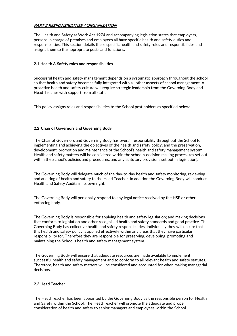#### **PART 2 RESPONSIBILITIES / ORGANISATION**

The Health and Safety at Work Act 1974 and accompanying legislation states that employers, persons in charge of premises and employees all have specific health and safety duties and responsibilities. This section details these specific health and safety roles and responsibilities and assigns them to the appropriate posts and functions.

#### **2.1 Health & Safety roles and responsibilities**

Successful health and safety management depends on a systematic approach throughout the school so that health and safety becomes fully integrated with all other aspects of school management. A proactive health and safety culture will require strategic leadership from the Governing Body and Head Teacher with support from all staff.

This policy assigns roles and responsibilities to the School post holders as specified below:

#### **2.2 Chair of Governors and Governing Body**

The Chair of Governors and Governing Body has overall responsibility throughout the School for implementing and achieving the objectives of the health and safety policy; and the preservation, development, promotion and maintenance of the School's health and safety management system. Health and safety matters will be considered within the school's decision making process (as set out within the School's policies and procedures, and any statutory provisions set out in legislation).

The Governing Body will delegate much of the day-to-day health and safety monitoring, reviewing and auditing of health and safety to the Head Teacher. In addition the Governing Body will conduct Health and Safety Audits in its own right.

The Governing Body will personally respond to any legal notice received by the HSE or other enforcing body.

The Governing Body is responsible for applying health and safety legislation; and making decisions that conform to legislation and other recognised health and safety standards and good practice. The Governing Body has collective health and safety responsibilities. Individually they will ensure that this health and safety policy is applied effectively within any areas that they have particular responsibility for. Therefore they are responsible for preserving, developing, promoting and maintaining the School's health and safety management system.

The Governing Body will ensure that adequate resources are made available to implement successful health and safety management and to conform to all relevant health and safety statutes. Therefore, health and safety matters will be considered and accounted for when making managerial decisions.

#### **2.3 Head Teacher**

The Head Teacher has been appointed by the Governing Body as the responsible person for Health and Safety within the School. The Head Teacher will promote the adequate and proper consideration of health and safety to senior managers and employees within the School.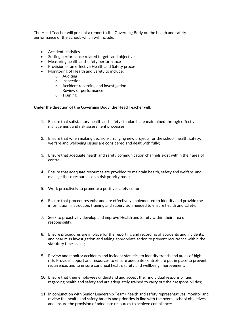The Head Teacher will present a report to the Governing Body on the health and safety performance of the School, which will include:

- Accident statistics
- Setting performance related targets and objectives
- Measuring health and safety performance
- Provision of an effective Health and Safety process
- Monitoring of Health and Safety to include:
	- o Auditing
	- o Inspection
	- o Accident recording and investigation
	- o Review of performance
	- $\circ$  Training

#### **Under the direction of the Governing Body, the Head Teacher will:**

- 1. Ensure that satisfactory health and safety standards are maintained through effective management and risk assessment processes;
- 2. Ensure that when making decision/arranging new projects for the school, health, safety, welfare and wellbeing issues are considered and dealt with fully;
- 3. Ensure that adequate health and safety communication channels exist within their area of control;
- 4. Ensure that adequate resources are provided to maintain health, safety and welfare, and manage these resources on a risk priority basis;
- 5. Work proactively to promote a positive safety culture;
- 6. Ensure that procedures exist and are effectively implemented to identify and provide the information, instruction, training and supervision needed to ensure health and safety;
- 7. Seek to proactively develop and improve Health and Safety within their area of responsibility;
- 8. Ensure procedures are in place for the reporting and recording of accidents and incidents, and near miss investigation and taking appropriate action to prevent recurrence within the statutory time scales;
- 9. Review and monitor accidents and incident statistics to identify trends and areas of high risk. Provide support and resources to ensure adequate controls are put in place to prevent recurrence, and to ensure continual health, safety and wellbeing improvement;
- 10. Ensure that their employees understand and accept their individual responsibilities regarding health and safety and are adequately trained to carry out their responsibilities;
- 11. In conjunction with Senior Leadership Team/ health and safety representatives, monitor and review the health and safety targets and priorities in line with the overall school objectives; and ensure the provision of adequate resources to achieve compliance;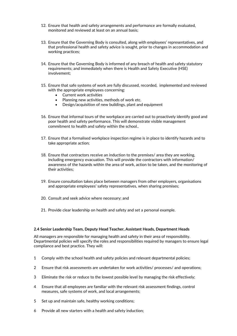- 12. Ensure that health and safety arrangements and performance are formally evaluated, monitored and reviewed at least on an annual basis;
- 13. Ensure that the Governing Body is consulted, along with employees' representatives, and that professional health and safety advice is sought, prior to changes in accommodation and working practices;
- 14. Ensure that the Governing Body is informed of any breach of health and safety statutory requirements; and immediately when there is Health and Safety Executive (HSE) involvement;
- 15. Ensure that safe systems of work are fully discussed, recorded, implemented and reviewed with the appropriate employees concerning:
	- Current work activities
	- Planning new activities, methods of work etc.
	- Design/acquisition of new buildings, plant and equipment
- 16. Ensure that informal tours of the workplace are carried out to proactively identify good and poor health and safety performance. This will demonstrate visible management commitment to health and safety within the school..
- 17. Ensure that a formalised workplace inspection regime is in place to identify hazards and to take appropriate action;
- 18. Ensure that contractors receive an induction to the premises/ area they are working, including emergency evacuation. This will provide the contractors with information/ awareness of the hazards within the area of work, action to be taken, and the monitoring of their activities;
- 19. Ensure consultation takes place between managers from other employers, organisations and appropriate employees' safety representatives, when sharing premises;
- 20. Consult and seek advice where necessary; and
- 21. Provide clear leadership on health and safety and set a personal example.

#### **2.4 Senior Leadership Team, Deputy Head Teacher, Assistant Heads, Department Heads**

All managers are responsible for managing health and safety in their area of responsibility. Departmental policies will specify the roles and responsibilities required by managers to ensure legal compliance and best practice. They will:

- 1 Comply with the school health and safety policies and relevant departmental policies;
- 2 Ensure that risk assessments are undertaken for work activities/ processes/ and operations;
- 3 Eliminate the risk or reduce to the lowest possible level by managing the risk effectively;
- 4 Ensure that all employees are familiar with the relevant risk assessment findings, control measures, safe systems of work, and local arrangements;
- 5 Set up and maintain safe, healthy working conditions;
- 6 Provide all new starters with a health and safety induction;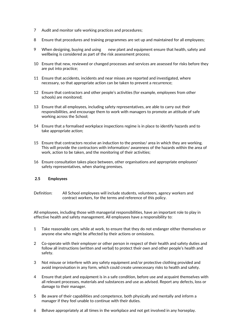- 7 Audit and monitor safe working practices and procedures;
- 8 Ensure that procedures and training programmes are set up and maintained for all employees;
- 9 When designing, buying and using new plant and equipment ensure that health, safety and wellbeing is considered as part of the risk assessment process;
- 10 Ensure that new, reviewed or changed processes and services are assessed for risks before they are put into practice;
- 11 Ensure that accidents, incidents and near misses are reported and investigated, where necessary, so that appropriate action can be taken to prevent a recurrence;
- 12 Ensure that contractors and other people's activities (for example, employees from other schools) are monitored;
- 13 Ensure that all employees, including safety representatives, are able to carry out their responsibilities, and encourage them to work with managers to promote an attitude of safe working across the School;
- 14 Ensure that a formalised workplace inspections regime is in place to identify hazards and to take appropriate action;
- 15 Ensure that contractors receive an induction to the premise/ area in which they are working. This will provide the contractors with information/ awareness of the hazards within the area of work, action to be taken, and the monitoring of their activities;
- 16 Ensure consultation takes place between, other organisations and appropriate employees' safety representatives, when sharing premises.

#### **2.5 Employees**

Definition: All School employees will include students, volunteers, agency workers and contract workers, for the terms and reference of this policy.

All employees, including those with managerial responsibilities, have an important role to play in effective health and safety management. All employees have a responsibility to:

- 1 Take reasonable care, while at work, to ensure that they do not endanger either themselves or anyone else who might be affected by their actions or omissions.
- 2 Co-operate with their employer or other person in respect of their health and safety duties and follow all instructions (written and verbal) to protect their own and other people's health and safety.
- 3 Not misuse or interfere with any safety equipment and/or protective clothing provided and avoid improvisation in any form, which could create unnecessary risks to health and safety.
- 4 Ensure that plant and equipment is in a safe condition, before use and acquaint themselves with all relevant processes, materials and substances and use as advised. Report any defects, loss or damage to their manager.
- 5 Be aware of their capabilities and competence, both physically and mentally and inform a manager if they feel unable to continue with their duties.
- 6 Behave appropriately at all times in the workplace and not get involved in any horseplay.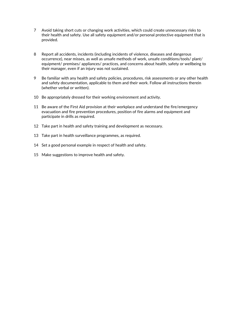- 7 Avoid taking short cuts or changing work activities, which could create unnecessary risks to their health and safety. Use all safety equipment and/or personal protective equipment that is provided.
- 8 Report all accidents, incidents (including incidents of violence, diseases and dangerous occurrence), near misses, as well as unsafe methods of work, unsafe conditions/tools/ plant/ equipment/ premises/ appliances/ practices, and concerns about health, safety or wellbeing to their manager, even if an injury was not sustained.
- 9 Be familiar with any health and safety policies, procedures, risk assessments or any other health and safety documentation, applicable to them and their work. Follow all instructions therein (whether verbal or written).
- 10 Be appropriately dressed for their working environment and activity.
- 11 Be aware of the First Aid provision at their workplace and understand the fire/emergency evacuation and fire prevention procedures, position of fire alarms and equipment and participate in drills as required.
- 12 Take part in health and safety training and development as necessary.
- 13 Take part in health surveillance programmes, as required.
- 14 Set a good personal example in respect of health and safety.
- 15 Make suggestions to improve health and safety.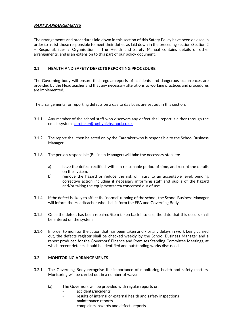#### **PART 3 ARRANGEMENTS**

The arrangements and procedures laid down in this section of this Safety Policy have been devised in order to assist those responsible to meet their duties as laid down in the preceding section (Section 2 – Responsibilities / Organisation). The Health and Safety Manual contains details of other arrangements, and is an extension to this part of our policy document.

#### **3.1 HEALTH AND SAFETY DEFECTS REPORTING PROCEDURE**

The Governing body will ensure that regular reports of accidents and dangerous occurrences are provided by the Headteacher and that any necessary alterations to working practices and procedures are implemented.

The arrangements for reporting defects on a day to day basis are set out in this section.

- 3.1.1 Any member of the school staff who discovers any defect shall report it either through the email system; [caretaker@rugbyhighschool.co.uk.](mailto:caretaker@rugbyhighschool.co.uk)
- 3.1.2 The report shall then be acted on by the Caretaker who is responsible to the School Business Manager.
- 3.1.3 The person responsible (Business Manager) will take the necessary steps to:
	- a) have the defect rectified, within a reasonable period of time, and record the details on the system.
	- b) remove the hazard or reduce the risk of injury to an acceptable level, pending corrective action including if necessary informing staff and pupils of the hazard and/or taking the equipment/area concerned out of use.
- 3.1.4 If the defect is likely to affect the 'normal' running of the school, the School Business Manager will inform the Headteacher who shall inform the EFA and Governing Body.
- 3.1.5 Once the defect has been repaired/item taken back into use, the date that this occurs shall be entered on the system.
- 3.1.6 In order to monitor the action that has been taken and / or any delays in work being carried out, the defects register shall be checked weekly by the School Business Manager and a report produced for the Governors' Finance and Premises Standing Committee Meetings, at which recent defects should be identified and outstanding works discussed.

#### **3.2 MONITORING ARRANGEMENTS**

- 3.2.1 The Governing Body recognise the importance of monitoring health and safety matters. Monitoring will be carried out in a number of ways:
	- (a) The Governors will be provided with regular reports on:
		- accidents/incidents
		- results of internal or external health and safety inspections
		- maintenance reports
		- complaints, hazards and defects reports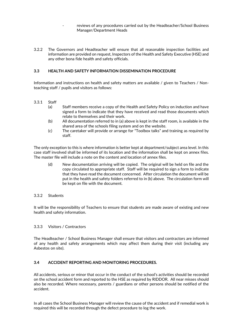- reviews of any procedures carried out by the Headteacher/School Business Manager/Department Heads
- 3.2.2 The Governors and Headteacher will ensure that all reasonable inspection facilities and information are provided on request, Inspectors of the Health and Safety Executive (HSE) and any other bona fide health and safety officials.

#### **3.3 HEALTH AND SAFETY INFORMATION DISSEMINATION PROCEDURE**

Information and instructions on health and safety matters are available / given to Teachers / Nonteaching staff / pupils and visitors as follows:

#### 3.3.1 Staff

- (a) Staff members receive a copy of the Health and Safety Policy on induction and have signed a form to indicate that they have received and read those documents which relate to themselves and their work.
- (b) All documentation referred to in (a) above is kept in the staff room, is available in the shared area of the schools filing system and on the website.
- (c) The caretaker will provide or arrange for "Toolbox talks" and training as required by staff.

The only exception to this is where information is better kept at department/subject area level. In this case staff involved shall be informed of its location and the information shall be kept on annex files. The master file will include a note on the content and location of annex files.

(d) New documentation arriving will be copied. The original will be held on file and the copy circulated to appropriate staff. Staff will be required to sign a form to indicate that they have read the document concerned. After circulation the document will be put in the health and safety folders referred to in (b) above. The circulation form will be kept on file with the document.

#### 3.3.2 Students

It will be the responsibility of Teachers to ensure that students are made aware of existing and new health and safety information.

#### 3.3.3 Visitors / Contractors

The Headteacher / School Business Manager shall ensure that visitors and contractors are informed of any health and safety arrangements which may affect them during their visit (including any Asbestos on site).

#### **3.4 ACCIDENT REPORTING AND MONITORING PROCEDURES.**

All accidents, serious or minor that occur in the conduct of the school's activities should be recorded on the school accident form and reported to the HSE as required by RIDDOR. All near misses should also be recorded. Where necessary, parents / guardians or other persons should be notified of the accident.

In all cases the School Business Manager will review the cause of the accident and if remedial work is required this will be recorded through the defect procedure to log the work.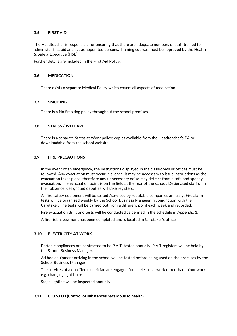#### **3.5 FIRST AID**

The Headteacher is responsible for ensuring that there are adequate numbers of staff trained to administer first aid and act as appointed persons. Training courses must be approved by the Health & Safety Executive (HSE).

Further details are included in the First Aid Policy.

#### **3.6 MEDICATION**

There exists a separate Medical Policy which covers all aspects of medication.

#### **3.7 SMOKING**

There is a No Smoking policy throughout the school premises.

#### **3.8 STRESS / WELFARE**

There is a separate Stress at Work policy: copies available from the Headteacher's PA or downloadable from the school website.

#### **3.9 FIRE PRECAUTIONS**

In the event of an emergency, the instructions displayed in the classrooms or offices must be followed. Any evacuation must occur in silence. It may be necessary to issue instructions as the evacuation takes place; therefore any unnecessary noise may detract from a safe and speedy evacuation. The evacuation point is on the field at the rear of the school. Designated staff or in their absence, designated deputies will take registers.

All fire safety equipment will be tested /serviced by reputable companies annually. Fire alarm tests will be organised weekly by the School Business Manager in conjunction with the Caretaker. The tests will be carried out from a different point each week and recorded.

Fire evacuation drills and tests will be conducted as defined in the schedule in Appendix 1.

A fire risk assessment has been completed and is located in Caretaker's office.

#### **3.10 ELECTRICITY AT WORK**

Portable appliances are contracted to be P.A.T. tested annually. P.A.T registers will be held by the School Business Manager.

Ad hoc equipment arriving in the school will be tested before being used on the premises by the School Business Manager.

The services of a qualified electrician are engaged for all electrical work other than minor work, e.g. changing light bulbs.

Stage lighting will be inspected annually

#### **3.11 C.O.S.H.H (Control of substances hazardous to health)**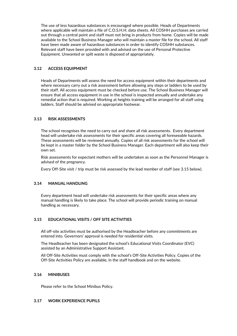The use of less hazardous substances is encouraged where possible. Heads of Departments where applicable will maintain a file of C.O.S.H.H. data sheets. All COSHH purchases are carried out through a central point and staff must not bring in products from home. Copies will be made available to the School Business Manager who will maintain a master file for the school. All staff have been made aware of hazardous substances in order to identify COSHH substances. Relevant staff have been provided with and advised on the use of Personal Protective Equipment. Unwanted or spilt waste is disposed of appropriately.

#### **3.12 ACCESS EQUIPMENT**

Heads of Departments will assess the need for access equipment within their departments and where necessary carry out a risk assessment before allowing any steps or ladders to be used by their staff. All access equipment must be checked before use. The School Business Manager will ensure that all access equipment in use in the school is inspected annually and undertake any remedial action that is required. Working at heights training will be arranged for all staff using ladders. Staff should be advised on appropriate footwear.

#### **3.13 RISK ASSESSMENTS**

The school recognises the need to carry out and share all risk assessments. Every department head will undertake risk assessments for their specific areas covering all foreseeable hazards. These assessments will be reviewed annually. Copies of all risk assessments for the school will be kept in a master folder by the School Business Manager. Each department will also keep their own set.

Risk assessments for expectant mothers will be undertaken as soon as the Personnel Manager is advised of the pregnancy.

Every Off-Site visit / trip must be risk assessed by the lead member of staff (see 3.15 below).

#### **3.14 MANUAL HANDLING**

Every department head will undertake risk assessments for their specific areas where any manual handling is likely to take place. The school will provide periodic training on manual handling as necessary.

#### **3.15 EDUCATIONAL VISITS / OFF SITE ACTIVITIES**

All off-site activities must be authorised by the Headteacher before any commitments are entered into. Governors' approval is needed for residential visits.

The Headteacher has been designated the school's Educational Visits Coordinator (EVC) assisted by an Administrative Support Assistant.

All Off-Site Activities must comply with the school's Off-Site Activities Policy. Copies of the Off-Site Activities Policy are available, in the staff handbook and on the website.

#### **3.16 MINIBUSES**

Please refer to the School Minibus Policy.

#### **3.17 WORK EXPERIENCE PUPILS**